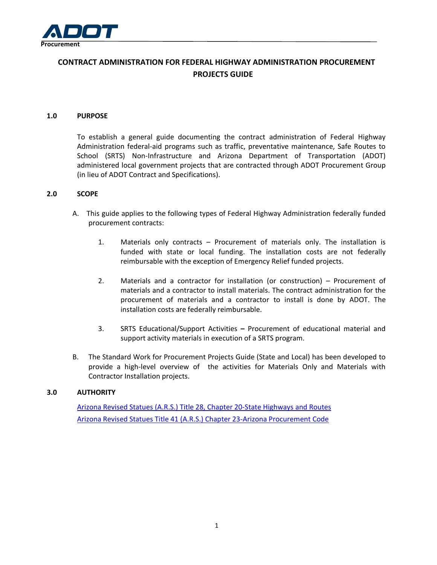

# **CONTRACT ADMINISTRATION FOR FEDERAL HIGHWAY ADMINISTRATION PROCUREMENT PROJECTS GUIDE**

### **1.0 PURPOSE**

To establish a general guide documenting the contract administration of Federal Highway Administration federal-aid programs such as traffic, preventative maintenance, Safe Routes to School (SRTS) Non-Infrastructure and Arizona Department of Transportation (ADOT) administered local government projects that are contracted through ADOT Procurement Group (in lieu of ADOT Contract and Specifications).

## **2.0 SCOPE**

- A. This guide applies to the following types of Federal Highway Administration federally funded procurement contracts:
	- 1. Materials only contracts Procurement of materials only. The installation is funded with state or local funding. The installation costs are not federally reimbursable with the exception of Emergency Relief funded projects.
	- 2. Materials and a contractor for installation (or construction) Procurement of materials and a contractor to install materials. The contract administration for the procurement of materials and a contractor to install is done by ADOT. The installation costs are federally reimbursable.
	- 3. SRTS Educational/Support Activities **–** Procurement of educational material and support activity materials in execution of a SRTS program.
- B. The Standard Work for Procurement Projects Guide (State and Local) has been developed to provide a high-level overview of the activities for Materials Only and Materials with Contractor Installation projects.

#### **3.0 AUTHORITY**

Arizona Revised Statues (A.R.S.) Title 28, Chapter 20-State Highways and Routes Arizona Revised Statues Title 41 (A.R.S.) Chapter 23-Arizona Procurement Code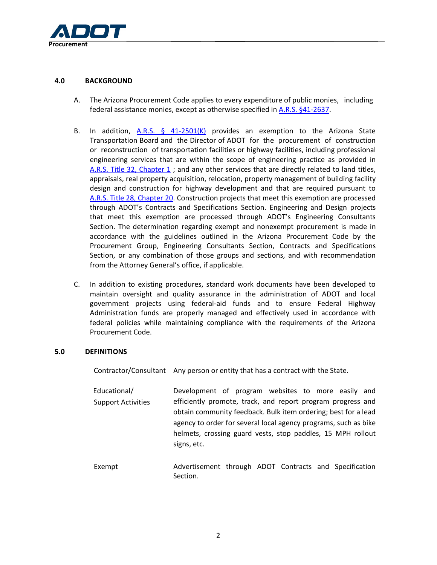

## **4.0 BACKGROUND**

- A. The Arizona Procurement Code applies to every expenditure of public monies, including federal assistance monies, except as otherwise specified in A.R.S. §41-2637.
- B. In addition, A.R.S.  $\frac{6}{9}$  41-2501(K) provides an exemption to the Arizona State Transportation Board and the Director of ADOT for the procurement of construction or reconstruction of transportation facilities or highway facilities, including professional engineering services that are within the scope of engineering practice as provided in A.R.S. Title 32, Chapter 1 ; and any other services that are directly related to land titles, appraisals, real property acquisition, relocation, property management of building facility design and construction for highway development and that are required pursuant to A.R.S. Title 28, Chapter 20. Construction projects that meet this exemption are processed through ADOT's Contracts and Specifications Section. Engineering and Design projects that meet this exemption are processed through ADOT's Engineering Consultants Section. The determination regarding exempt and nonexempt procurement is made in accordance with the guidelines outlined in the Arizona Procurement Code by the Procurement Group, Engineering Consultants Section, Contracts and Specifications Section, or any combination of those groups and sections, and with recommendation from the Attorney General's office, if applicable.
- C. In addition to existing procedures, standard work documents have been developed to maintain oversight and quality assurance in the administration of ADOT and local government projects using federal-aid funds and to ensure Federal Highway Administration funds are properly managed and effectively used in accordance with federal policies while maintaining compliance with the requirements of the Arizona Procurement Code.

#### **5.0 DEFINITIONS**

Contractor/Consultant Any person or entity that has a contract with the State.

- Educational/ Support Activities Development of program websites to more easily and efficiently promote, track, and report program progress and obtain community feedback. Bulk item ordering; best for a lead agency to order for several local agency programs, such as bike helmets, crossing guard vests, stop paddles, 15 MPH rollout signs, etc.
- Exempt **Advertisement through ADOT Contracts and Specification** Section.